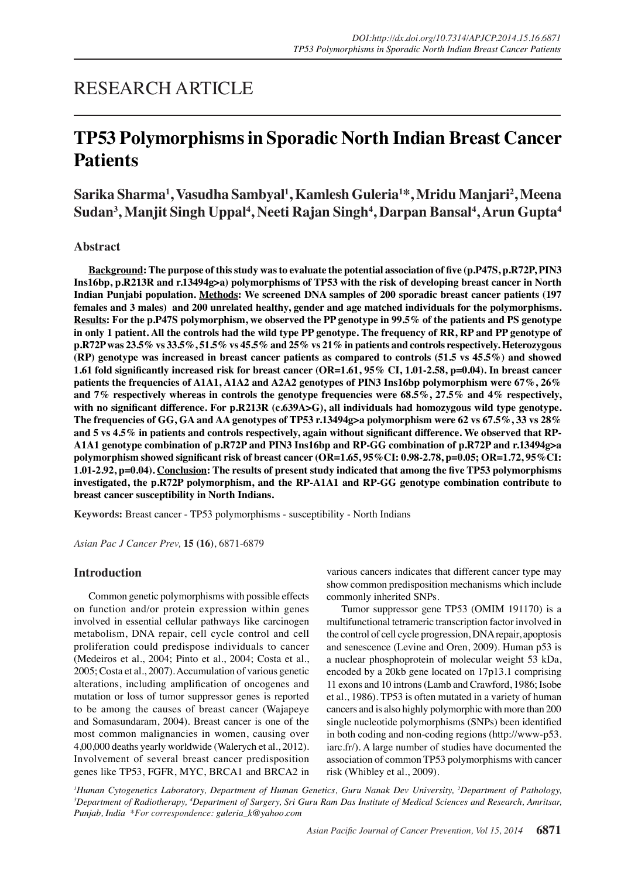## RESEARCH ARTICLE

# **TP53 Polymorphisms in Sporadic North Indian Breast Cancer Patients**

**Sarika Sharma<sup>1</sup> , Vasudha Sambyal<sup>1</sup> , Kamlesh Guleria<sup>1</sup> \*, Mridu Manjari2 , Meena**   $\boldsymbol{\mathsf{Sudan}}^3,$ Manjit Singh Uppal $^4,$ Neeti Rajan Singh $^4,$ Darpan Bansal $^4,$ Arun Gupta $^4$ 

## **Abstract**

**Background: The purpose of this study was to evaluate the potential association of five (p.P47S, p.R72P, PIN3 Ins16bp, p.R213R and r.13494g>a) polymorphisms of TP53 with the risk of developing breast cancer in North Indian Punjabi population. Methods: We screened DNA samples of 200 sporadic breast cancer patients (197 females and 3 males) and 200 unrelated healthy, gender and age matched individuals for the polymorphisms. Results: For the p.P47S polymorphism, we observed the PP genotype in 99.5% of the patients and PS genotype**  in only 1 patient. All the controls had the wild type PP genotype. The frequency of RR, RP and PP genotype of **p.R72P was 23.5% vs 33.5%, 51.5% vs 45.5% and 25% vs 21% in patients and controls respectively. Heterozygous (RP) genotype was increased in breast cancer patients as compared to controls (51.5 vs 45.5%) and showed 1.61 fold significantly increased risk for breast cancer (OR=1.61, 95% CI, 1.01-2.58, p=0.04). In breast cancer patients the frequencies of A1A1, A1A2 and A2A2 genotypes of PIN3 Ins16bp polymorphism were 67%, 26% and 7% respectively whereas in controls the genotype frequencies were 68.5%, 27.5% and 4% respectively,**  with no significant difference. For p.R213R (c.639A>G), all individuals had homozygous wild type genotype. **The frequencies of GG, GA and AA genotypes of TP53 r.13494g>a polymorphism were 62 vs 67.5%, 33 vs 28% and 5 vs 4.5% in patients and controls respectively, again without significant difference. We observed that RP-A1A1 genotype combination of p.R72P and PIN3 Ins16bp and RP-GG combination of p.R72P and r.13494g>a polymorphism showed significant risk of breast cancer (OR=1.65, 95%CI: 0.98-2.78, p=0.05; OR=1.72, 95%CI: 1.01-2.92, p=0.04). Conclusion: The results of present study indicated that among the five TP53 polymorphisms investigated, the p.R72P polymorphism, and the RP-A1A1 and RP-GG genotype combination contribute to breast cancer susceptibility in North Indians.**

**Keywords:** Breast cancer - TP53 polymorphisms - susceptibility - North Indians

*Asian Pac J Cancer Prev,* **15 (16)**, 6871-6879

## **Introduction**

Common genetic polymorphisms with possible effects on function and/or protein expression within genes involved in essential cellular pathways like carcinogen metabolism, DNA repair, cell cycle control and cell proliferation could predispose individuals to cancer (Medeiros et al., 2004; Pinto et al., 2004; Costa et al., 2005; Costa et al., 2007). Accumulation of various genetic alterations, including amplification of oncogenes and mutation or loss of tumor suppressor genes is reported to be among the causes of breast cancer (Wajapeye and Somasundaram, 2004). Breast cancer is one of the most common malignancies in women, causing over 4,00,000 deaths yearly worldwide (Walerych et al., 2012). Involvement of several breast cancer predisposition genes like TP53, FGFR, MYC, BRCA1 and BRCA2 in

various cancers indicates that different cancer type may show common predisposition mechanisms which include commonly inherited SNPs.

Tumor suppressor gene TP53 (OMIM 191170) is a multifunctional tetrameric transcription factor involved in the control of cell cycle progression, DNA repair, apoptosis and senescence (Levine and Oren, 2009). Human p53 is a nuclear phosphoprotein of molecular weight 53 kDa, encoded by a 20kb gene located on 17p13.1 comprising 11 exons and 10 introns (Lamb and Crawford, 1986; Isobe et al., 1986). TP53 is often mutated in a variety of human cancers and is also highly polymorphic with more than 200 single nucleotide polymorphisms (SNPs) been identified in both coding and non-coding regions (http://www-p53. iarc.fr/). A large number of studies have documented the association of common TP53 polymorphisms with cancer risk (Whibley et al., 2009).

*1 Human Cytogenetics Laboratory, Department of Human Genetics, Guru Nanak Dev University, 2 Department of Pathology, 3 Department of Radiotherapy, 4 Department of Surgery, Sri Guru Ram Das Institute of Medical Sciences and Research, Amritsar, Punjab, India \*For correspondence: guleria\_k@yahoo.com*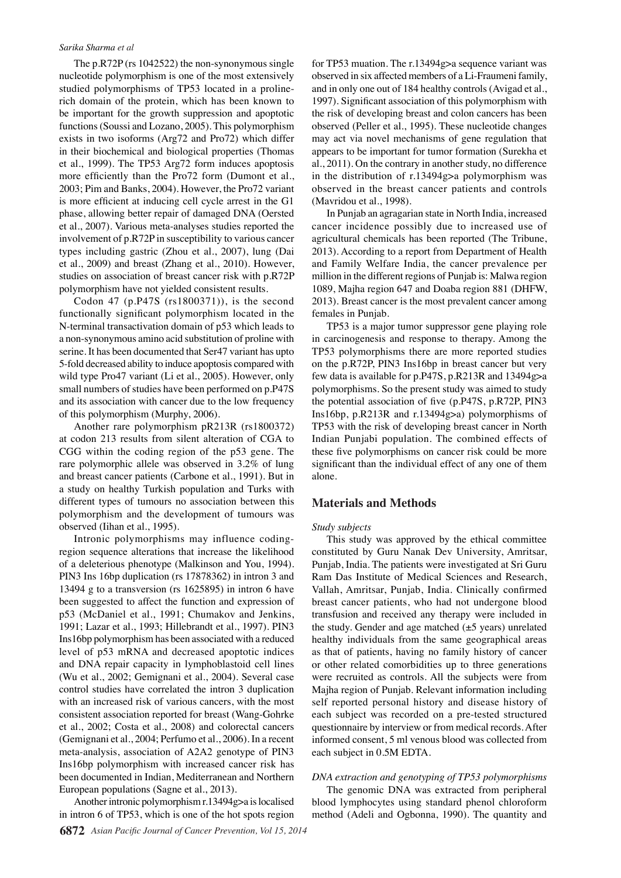The p.R72P (rs 1042522) the non-synonymous single nucleotide polymorphism is one of the most extensively studied polymorphisms of TP53 located in a prolinerich domain of the protein, which has been known to be important for the growth suppression and apoptotic functions (Soussi and Lozano, 2005). This polymorphism exists in two isoforms (Arg72 and Pro72) which differ in their biochemical and biological properties (Thomas et al., 1999). The TP53 Arg72 form induces apoptosis more efficiently than the Pro72 form (Dumont et al., 2003; Pim and Banks, 2004). However, the Pro72 variant is more efficient at inducing cell cycle arrest in the G1 phase, allowing better repair of damaged DNA (Oersted et al., 2007). Various meta-analyses studies reported the involvement of p.R72P in susceptibility to various cancer types including gastric (Zhou et al., 2007), lung (Dai et al., 2009) and breast (Zhang et al., 2010). However, studies on association of breast cancer risk with p.R72P polymorphism have not yielded consistent results.

Codon 47 (p.P47S (rs1800371)), is the second functionally significant polymorphism located in the N-terminal transactivation domain of p53 which leads to a non-synonymous amino acid substitution of proline with serine. It has been documented that Ser47 variant has upto 5-fold decreased ability to induce apoptosis compared with wild type Pro47 variant (Li et al., 2005). However, only small numbers of studies have been performed on p.P47S and its association with cancer due to the low frequency of this polymorphism (Murphy, 2006).

Another rare polymorphism pR213R (rs1800372) at codon 213 results from silent alteration of CGA to CGG within the coding region of the p53 gene. The rare polymorphic allele was observed in 3.2% of lung and breast cancer patients (Carbone et al., 1991). But in a study on healthy Turkish population and Turks with different types of tumours no association between this polymorphism and the development of tumours was observed (Iihan et al., 1995).

Intronic polymorphisms may influence codingregion sequence alterations that increase the likelihood of a deleterious phenotype (Malkinson and You, 1994). PIN3 Ins 16bp duplication (rs 17878362) in intron 3 and 13494 g to a transversion (rs 1625895) in intron 6 have been suggested to affect the function and expression of p53 (McDaniel et al., 1991; Chumakov and Jenkins, 1991; Lazar et al., 1993; Hillebrandt et al., 1997). PIN3 Ins16bp polymorphism has been associated with a reduced level of p53 mRNA and decreased apoptotic indices and DNA repair capacity in lymphoblastoid cell lines (Wu et al., 2002; Gemignani et al., 2004). Several case control studies have correlated the intron 3 duplication with an increased risk of various cancers, with the most consistent association reported for breast (Wang-Gohrke et al., 2002; Costa et al., 2008) and colorectal cancers (Gemignani et al., 2004; Perfumo et al., 2006). In a recent meta-analysis, association of A2A2 genotype of PIN3 Ins16bp polymorphism with increased cancer risk has been documented in Indian, Mediterranean and Northern European populations (Sagne et al., 2013).

Another intronic polymorphism r.13494g>a is localised in intron 6 of TP53, which is one of the hot spots region for TP53 muation. The r.13494g>a sequence variant was observed in six affected members of a Li-Fraumeni family, and in only one out of 184 healthy controls (Avigad et al., 1997). Significant association of this polymorphism with the risk of developing breast and colon cancers has been observed (Peller et al., 1995). These nucleotide changes may act via novel mechanisms of gene regulation that appears to be important for tumor formation (Surekha et al., 2011). On the contrary in another study, no difference in the distribution of r.13494g>a polymorphism was observed in the breast cancer patients and controls (Mavridou et al., 1998).

In Punjab an agragarian state in North India, increased cancer incidence possibly due to increased use of agricultural chemicals has been reported (The Tribune, 2013). According to a report from Department of Health and Family Welfare India, the cancer prevalence per million in the different regions of Punjab is: Malwa region 1089, Majha region 647 and Doaba region 881 (DHFW, 2013). Breast cancer is the most prevalent cancer among females in Punjab.

TP53 is a major tumor suppressor gene playing role in carcinogenesis and response to therapy. Among the TP53 polymorphisms there are more reported studies on the p.R72P, PIN3 Ins16bp in breast cancer but very few data is available for p.P47S, p.R213R and 13494g>a polymorphisms. So the present study was aimed to study the potential association of five (p.P47S, p.R72P, PIN3 Ins16bp, p.R213R and r.13494g>a) polymorphisms of TP53 with the risk of developing breast cancer in North Indian Punjabi population. The combined effects of these five polymorphisms on cancer risk could be more significant than the individual effect of any one of them alone.

## **Materials and Methods**

#### *Study subjects*

This study was approved by the ethical committee constituted by Guru Nanak Dev University, Amritsar, Punjab, India. The patients were investigated at Sri Guru Ram Das Institute of Medical Sciences and Research, Vallah, Amritsar, Punjab, India. Clinically confirmed breast cancer patients, who had not undergone blood transfusion and received any therapy were included in the study. Gender and age matched  $(\pm 5 \text{ years})$  unrelated healthy individuals from the same geographical areas as that of patients, having no family history of cancer or other related comorbidities up to three generations were recruited as controls. All the subjects were from Majha region of Punjab. Relevant information including self reported personal history and disease history of each subject was recorded on a pre-tested structured questionnaire by interview or from medical records. After informed consent, 5 ml venous blood was collected from each subject in 0.5M EDTA.

#### *DNA extraction and genotyping of TP53 polymorphisms*

The genomic DNA was extracted from peripheral blood lymphocytes using standard phenol chloroform method (Adeli and Ogbonna, 1990). The quantity and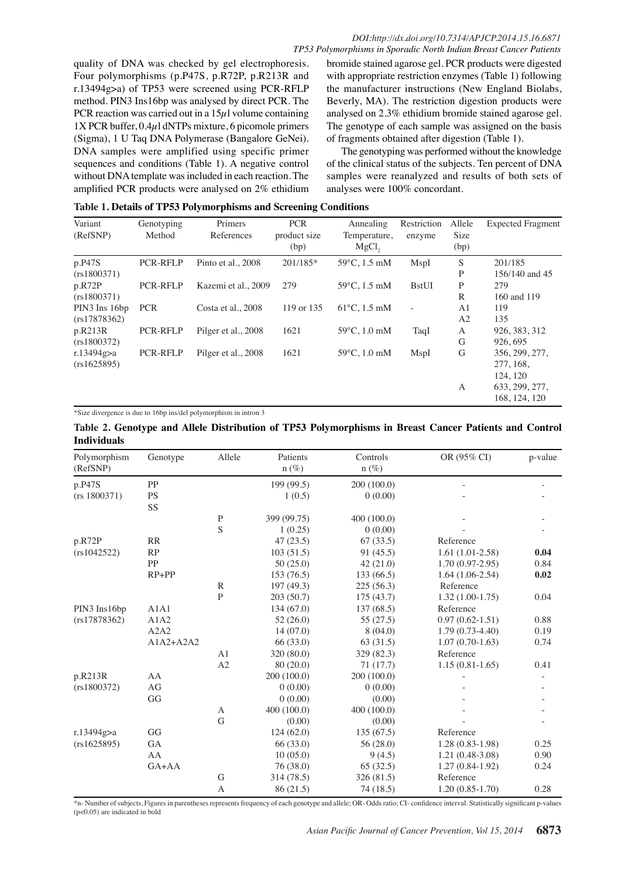quality of DNA was checked by gel electrophoresis. Four polymorphisms (p.P47S, p.R72P, p.R213R and r.13494g>a) of TP53 were screened using PCR-RFLP method. PIN3 Ins16bp was analysed by direct PCR. The PCR reaction was carried out in a  $15\mu$ l volume containing  $1X$  PCR buffer,  $0.4\mu$ l dNTPs mixture, 6 picomole primers (Sigma), 1 U Taq DNA Polymerase (Bangalore GeNei). DNA samples were amplified using specific primer sequences and conditions (Table 1). A negative control without DNA template was included in each reaction. The amplified PCR products were analysed on 2% ethidium

bromide stained agarose gel. PCR products were digested with appropriate restriction enzymes (Table 1) following the manufacturer instructions (New England Biolabs, Beverly, MA). The restriction digestion products were analysed on 2.3% ethidium bromide stained agarose gel. The genotype of each sample was assigned on the basis of fragments obtained after digestion (Table 1).

The genotyping was performed without the knowledge of the clinical status of the subjects. Ten percent of DNA samples were reanalyzed and results of both sets of analyses were 100% concordant.

| Variant<br>(RefSNP)          | Genotyping<br>Method | Primers<br>References | <b>PCR</b><br>product size<br>(bp) | Annealing<br>Temperature,<br>$MgCl$ , | Restriction<br>enzyme | Allele<br>Size<br>(bp) | <b>Expected Fragment</b>                |
|------------------------------|----------------------|-----------------------|------------------------------------|---------------------------------------|-----------------------|------------------------|-----------------------------------------|
| p.P47S                       | <b>PCR-RFLP</b>      | Pinto et al., 2008    | $201/185*$                         | $59^{\circ}$ C, 1.5 mM                | MspI                  | S                      | 201/185                                 |
| (rs1800371)<br>p.R72P        | <b>PCR-RFLP</b>      | Kazemi et al., 2009   | 279                                | $59^{\circ}$ C, 1.5 mM                | <b>BstUI</b>          | P<br>P                 | 156/140 and 45<br>279                   |
| (rs1800371)<br>PIN3 Ins 16bp | <b>PCR</b>           | Costa et al., 2008    | 119 or 135                         | $61^{\circ}$ C, 1.5 mM                | $\sim$                | R<br>A1                | 160 and 119<br>119                      |
| (rs17878362)                 |                      |                       |                                    |                                       |                       | A <sub>2</sub>         | 135                                     |
| p.R213R<br>(rs1800372)       | <b>PCR-RFLP</b>      | Pilger et al., 2008   | 1621                               | 59°C, 1.0 mM                          | TaqI                  | A<br>G                 | 926, 383, 312<br>926, 695               |
| r.13494g $>a$<br>(rs1625895) | PCR-RFLP             | Pilger et al., 2008   | 1621                               | $59^{\circ}$ C, 1.0 mM                | MspI                  | G                      | 356, 299, 277,<br>277, 168,<br>124, 120 |
|                              |                      |                       |                                    |                                       |                       | A                      | 633, 299, 277,<br>168, 124, 120         |

\*Size divergence is due to 16bp ins/del polymorphism in intron 3

## **Table 2. Genotype and Allele Distribution of TP53 Polymorphisms in Breast Cancer Patients and Control Individuals**

| Polymorphism | Genotype    | Allele       | Patients    | Controls    | OR (95% CI)         | p-value |
|--------------|-------------|--------------|-------------|-------------|---------------------|---------|
| (RefSNP)     |             |              | $n(\%)$     | $n(\%)$     |                     |         |
| p.P47S       | PP          |              | 199 (99.5)  | 200(100.0)  |                     |         |
| (rs 1800371) | <b>PS</b>   |              | 1(0.5)      | 0(0.00)     |                     |         |
|              | SS          |              |             |             |                     |         |
|              |             | $\mathbf P$  | 399 (99.75) | 400 (100.0) |                     |         |
|              |             | S            | 1(0.25)     | 0(0.00)     |                     |         |
| p.R72P       | RR          |              | 47(23.5)    | 67(33.5)    | Reference           |         |
| (rs1042522)  | RP          |              | 103(51.5)   | 91 (45.5)   | $1.61(1.01-2.58)$   | 0.04    |
|              | PP          |              | 50(25.0)    | 42(21.0)    | $1.70(0.97-2.95)$   | 0.84    |
|              | $RP+PP$     |              | 153 (76.5)  | 133(66.5)   | $1.64(1.06-2.54)$   | 0.02    |
|              |             | $\mathbb{R}$ | 197(49.3)   | 225(56.3)   | Reference           |         |
|              |             | $\mathbf{P}$ | 203 (50.7)  | 175(43.7)   | $1.32(1.00-1.75)$   | 0.04    |
| PIN3 Ins16bp | A1A1        |              | 134(67.0)   | 137(68.5)   | Reference           |         |
| (rs17878362) | A1A2        |              | 52(26.0)    | 55(27.5)    | $0.97(0.62 - 1.51)$ | 0.88    |
|              | A2A2        |              | 14(07.0)    | 8(04.0)     | $1.79(0.73-4.40)$   | 0.19    |
|              | $A1A2+A2A2$ |              | 66 (33.0)   | 63 (31.5)   | $1.07(0.70-1.63)$   | 0.74    |
|              |             | A1           | 320 (80.0)  | 329 (82.3)  | Reference           |         |
|              |             | A2           | 80(20.0)    | 71(17.7)    | $1.15(0.81-1.65)$   | 0.41    |
| p.R213R      | AA          |              | 200 (100.0) | 200(100.0)  |                     |         |
| (rs1800372)  | AG          |              | 0(0.00)     | 0(0.00)     |                     |         |
|              | GG          |              | 0(0.00)     | (0.00)      |                     |         |
|              |             | A            | 400 (100.0) | 400 (100.0) |                     |         |
|              |             | G            | (0.00)      | (0.00)      |                     |         |
| r.13494g>a   | GG          |              | 124(62.0)   | 135(67.5)   | Reference           |         |
| (rs1625895)  | <b>GA</b>   |              | 66 (33.0)   | 56(28.0)    | $1.28(0.83-1.98)$   | 0.25    |
|              | AA          |              | 10(05.0)    | 9(4.5)      | $1.21(0.48-3.08)$   | 0.90    |
|              | GA+AA       |              | 76 (38.0)   | 65(32.5)    | $1.27(0.84-1.92)$   | 0.24    |
|              |             | G            | 314 (78.5)  | 326 (81.5)  | Reference           |         |
|              |             | A            | 86 (21.5)   | 74 (18.5)   | $1.20(0.85-1.70)$   | 0.28    |

\*n- Number of subjects, Figures in parentheses represents frequency of each genotype and allele; OR- Odds ratio; CI- confidence interval. Statistically significant p-values (p<0.05) are indicated in bold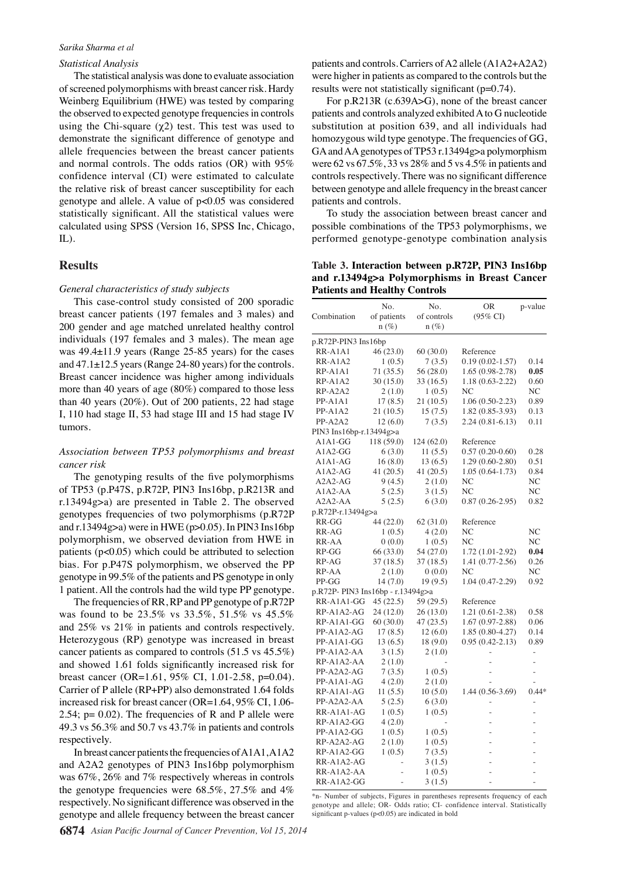#### *Statistical Analysis*

The statistical analysis was done to evaluate association of screened polymorphisms with breast cancer risk. Hardy Weinberg Equilibrium (HWE) was tested by comparing the observed to expected genotype frequencies in controls using the Chi-square  $(χ2)$  test. This test was used to demonstrate the significant difference of genotype and allele frequencies between the breast cancer patients and normal controls. The odds ratios (OR) with 95% confidence interval (CI) were estimated to calculate the relative risk of breast cancer susceptibility for each genotype and allele. A value of p<0.05 was considered statistically significant. All the statistical values were calculated using SPSS (Version 16, SPSS Inc, Chicago, IL).

### **Results**

#### *General characteristics of study subjects*

This case-control study consisted of 200 sporadic breast cancer patients (197 females and 3 males) and 200 gender and age matched unrelated healthy control individuals (197 females and 3 males). The mean age was 49.4±11.9 years (Range 25-85 years) for the cases and 47.1±12.5 years (Range 24-80 years) for the controls. Breast cancer incidence was higher among individuals more than 40 years of age (80%) compared to those less than 40 years (20%). Out of 200 patients, 22 had stage I, 110 had stage II, 53 had stage III and 15 had stage IV tumors.

## *Association between TP53 polymorphisms and breast cancer risk*

The genotyping results of the five polymorphisms of TP53 (p.P47S, p.R72P, PIN3 Ins16bp, p.R213R and r.13494g>a) are presented in Table 2. The observed genotypes frequencies of two polymorphisms (p.R72P and r.13494g>a) were in HWE ( $p > 0.05$ ). In PIN3 Ins16bp polymorphism, we observed deviation from HWE in patients  $(p<0.05)$  which could be attributed to selection bias. For p.P47S polymorphism, we observed the PP genotype in 99.5% of the patients and PS genotype in only 1 patient. All the controls had the wild type PP genotype.

The frequencies of RR, RP and PP genotype of p.R72P was found to be 23.5% vs 33.5%, 51.5% vs 45.5% and 25% vs 21% in patients and controls respectively. Heterozygous (RP) genotype was increased in breast cancer patients as compared to controls (51.5 vs 45.5%) and showed 1.61 folds significantly increased risk for breast cancer (OR=1.61, 95% CI, 1.01-2.58, p=0.04). Carrier of P allele (RP+PP) also demonstrated 1.64 folds increased risk for breast cancer (OR=1.64, 95% CI, 1.06- 2.54;  $p = 0.02$ ). The frequencies of R and P allele were 49.3 vs 56.3% and 50.7 vs 43.7% in patients and controls respectively.

In breast cancer patients the frequencies of A1A1, A1A2 and A2A2 genotypes of PIN3 Ins16bp polymorphism was 67%, 26% and 7% respectively whereas in controls the genotype frequencies were 68.5%, 27.5% and 4% respectively. No significant difference was observed in the genotype and allele frequency between the breast cancer

patients and controls. Carriers of A2 allele (A1A2+A2A2) were higher in patients as compared to the controls but the results were not statistically significant (p=0.74).

For p.R213R (c.639A>G), none of the breast cancer patients and controls analyzed exhibited A to G nucleotide substitution at position 639, and all individuals had homozygous wild type genotype. The frequencies of GG, GA and AA genotypes of TP53 r.13494g>a polymorphism were 62 vs 67.5%, 33 vs 28% and 5 vs 4.5% in patients and controls respectively. There was no significant difference between genotype and allele frequency in the breast cancer patients and controls.

To study the association between breast cancer and possible combinations of the TP53 polymorphisms, we performed genotype-genotype combination analysis

**Table 3. Interaction between p.R72P, PIN3 Ins16bp and r.13494g>a Polymorphisms in Breast Cancer Patients and Healthy Controls**

|                                  | No.         | No.         | OR                  | p-value        |
|----------------------------------|-------------|-------------|---------------------|----------------|
| Combination                      | of patients | of controls | $(95\% \text{ CI})$ |                |
|                                  | $n (\%)$    | $n (\%)$    |                     |                |
| p.R72P-PIN3 Ins16bp              |             |             |                     |                |
| RR-A1A1                          | 46 (23.0)   | 60(30.0)    | Reference           |                |
| RR-A1A2                          | 1(0.5)      | 7(3.5)      | $0.19(0.02 - 1.57)$ | 0.14           |
| RP-A1A1                          | 71 (35.5)   | 56 (28.0)   | $1.65(0.98-2.78)$   | 0.05           |
| RP-A1A2                          | 30 (15.0)   | 33 (16.5)   | $1.18(0.63 - 2.22)$ | 0.60           |
| RP-A2A2                          | 2(1.0)      | 1(0.5)      | NC                  | NC             |
| PP-A1A1                          | 17(8.5)     | 21 (10.5)   | $1.06(0.50-2.23)$   | 0.89           |
| PP-A1A2                          | 21 (10.5)   | 15(7.5)     | 1.82 (0.85-3.93)    | 0.13           |
| PP-A2A2                          | 12(6.0)     | 7(3.5)      | $2.24(0.81 - 6.13)$ | 0.11           |
| PIN3 Ins16bp-r.13494g>a          |             |             |                     |                |
| $A1A1-GG$                        | 118 (59.0)  | 124 (62.0)  | Reference           |                |
| $A1A2-GG$                        | 6(3.0)      | 11(5.5)     | $0.57(0.20-0.60)$   | 0.28           |
| A1A1-AG                          | 16(8.0)     | 13 (6.5)    | $1.29(0.60-2.80)$   | 0.51           |
| $A1A2-AG$                        | 41(20.5)    | 41 $(20.5)$ | $1.05(0.64-1.73)$   | 0.84           |
| $A2A2-AG$                        | 9(4.5)      | 2(1.0)      | NC                  | NC             |
| $A1A2-AA$                        | 5(2.5)      | 3(1.5)      | NC                  | NC             |
| $A2A2-AA$                        | 5(2.5)      | 6(3.0)      | $0.87(0.26-2.95)$   | 0.82           |
| p.R72P-r.13494g>a                |             |             |                     |                |
| RR-GG                            | 44 (22.0)   | 62 (31.0)   | Reference           |                |
| RR-AG                            | 1(0.5)      | 4(2.0)      | NC                  | NC             |
| RR-AA                            | 0(0.0)      | 1(0.5)      | N <sub>C</sub>      | N <sub>C</sub> |
| $RP-GG$                          | 66(33.0)    | 54 (27.0)   | 1.72 (1.01-2.92)    | 0.04           |
| RP-AG                            | 37 (18.5)   | 37 (18.5)   | 1.41 (0.77-2.56)    | 0.26           |
| RP-AA                            | 2(1.0)      | 0(0.0)      | NC                  | NC             |
| PP-GG                            | 14(7.0)     | 19(9.5)     | $1.04(0.47-2.29)$   | 0.92           |
| p.R72P-PIN3 Ins16bp - r.13494g>a |             |             |                     |                |
| RR-A1A1-GG                       | 45 (22.5)   | 59 (29.5)   | Reference           |                |
| RP-A1A2-AG                       | 24 (12.0)   | 26 (13.0)   | 1.21 (0.61-2.38)    | 0.58           |
| RP-A1A1-GG                       | 60(30.0)    | 47 (23.5)   | $1.67(0.97 - 2.88)$ | 0.06           |
| PP-A1A2-AG                       | 17(8.5)     | 12(6.0)     | 1.85 (0.80-4.27)    | 0.14           |
| PP-A1A1-GG                       | 13(6.5)     | 18(9.0)     | $0.95(0.42 - 2.13)$ | 0.89           |
| PP-A1A2-AA                       | 3(1.5)      | 2(1.0)      |                     | L.             |
| RP-A1A2-AA                       | 2(1.0)      |             |                     |                |
| PP-A2A2-AG                       | 7(3.5)      | 1(0.5)      |                     |                |
| PP-A1A1-AG                       | 4(2.0)      | 2(1.0)      |                     |                |
| RP-A1A1-AG                       | 11(5.5)     | 10(5.0)     | 1.44 (0.56-3.69)    | $0.44*$        |
| PP-A2A2-AA                       | 5(2.5)      | 6(3.0)      |                     |                |
| RR-A1A1-AG                       | 1(0.5)      | 1(0.5)      |                     |                |
| RP-A1A2-GG                       | 4(2.0)      |             |                     |                |
| PP-A1A2-GG                       | 1(0.5)      | 1(0.5)      |                     |                |
| RP-A2A2-AG                       | 2(1.0)      | 1(0.5)      |                     |                |
| RP-A1A2-GG                       | 1(0.5)      | 7(3.5)      |                     |                |
| RR-A1A2-AG                       |             | 3(1.5)      |                     |                |
| RR-A1A2-AA                       |             | 1(0.5)      |                     |                |
| RR-A1A2-GG                       |             | 3(1.5)      |                     |                |

\*n- Number of subjects, Figures in parentheses represents frequency of each genotype and allele; OR- Odds ratio; CI- confidence interval. Statistically significant p-values  $(p<0.05)$  are indicated in bold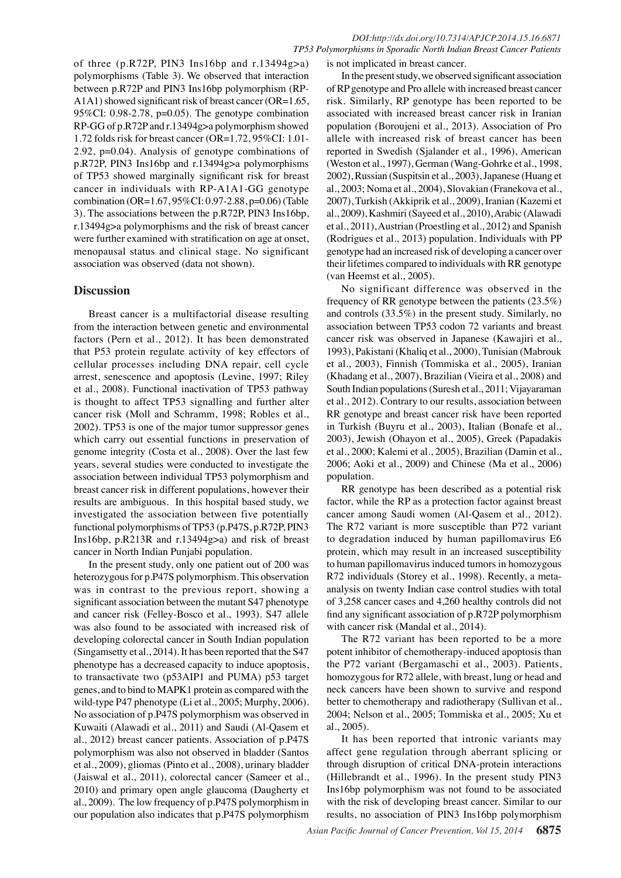of three (p.R72P, PIN3 Ins16bp and r.13494g>a) polymorphisms (Table 3). We observed that interaction between p.R72P and PIN3 Ins16bp polymorphism (RP-A1A1) showed significant risk of breast cancer (OR=1.65, 95%CI: 0.98-2.78, p=0.05). The genotype combination RP-GG of p.R72P and r.13494g>a polymorphism showed 1.72 folds risk for breast cancer (OR=1.72, 95%CI: 1.01- 2.92, p=0.04). Analysis of genotype combinations of p.R72P, PIN3 Ins16bp and r.13494g>a polymorphisms of TP53 showed marginally significant risk for breast cancer in individuals with RP-A1A1-GG genotype combination (OR=1.67, 95%CI: 0.97-2.88, p=0.06) (Table 3). The associations between the p.R72P, PIN3 Ins16bp, r.13494g>a polymorphisms and the risk of breast cancer were further examined with stratification on age at onset, menopausal status and clinical stage. No significant association was observed (data not shown).

## **Discussion**

Breast cancer is a multifactorial disease resulting from the interaction between genetic and environmental factors (Pern et al., 2012). It has been demonstrated that P53 protein regulate activity of key effectors of cellular processes including DNA repair, cell cycle arrest, senescence and apoptosis (Levine, 1997; Riley et al., 2008). Functional inactivation of TP53 pathway is thought to affect TP53 signalling and further alter cancer risk (Moll and Schramm, 1998; Robles et al., 2002). TP53 is one of the major tumor suppressor genes which carry out essential functions in preservation of genome integrity (Costa et al., 2008). Over the last few years, several studies were conducted to investigate the association between individual TP53 polymorphism and breast cancer risk in different populations, however their results are ambiguous. In this hospital based study, we investigated the association between five potentially functional polymorphisms of TP53 (p.P47S, p.R72P, PIN3 Ins16bp, p.R213R and r.13494g>a) and risk of breast cancer in North Indian Punjabi population.

In the present study, only one patient out of 200 was heterozygous for p.P47S polymorphism. This observation was in contrast to the previous report, showing a significant association between the mutant S47 phenotype and cancer risk (Felley-Bosco et al., 1993). S47 allele was also found to be associated with increased risk of developing colorectal cancer in South Indian population (Singamsetty et al., 2014). It has been reported that the S47 phenotype has a decreased capacity to induce apoptosis, to transactivate two (p53AIP1 and PUMA) p53 target genes, and to bind to MAPK1 protein as compared with the wild-type P47 phenotype (Li et al., 2005; Murphy, 2006). No association of p.P47S polymorphism was observed in Kuwaiti (Alawadi et al., 2011) and Saudi (Al-Qasem et al., 2012) breast cancer patients. Association of p.P47S polymorphism was also not observed in bladder (Santos et al., 2009), gliomas (Pinto et al., 2008), urinary bladder (Jaiswal et al., 2011), colorectal cancer (Sameer et al., 2010) and primary open angle glaucoma (Daugherty et al., 2009). The low frequency of p.P47S polymorphism in our population also indicates that p.P47S polymorphism

is not implicated in breast cancer.

In the present study, we observed significant association of RP genotype and Pro allele with increased breast cancer risk. Similarly, RP genotype has been reported to be associated with increased breast cancer risk in Iranian population (Boroujeni et al., 2013). Association of Pro allele with increased risk of breast cancer has been reported in Swedish (Sjalander et al., 1996), American (Weston et al., 1997), German (Wang-Gohrke et al., 1998, 2002), Russian (Suspitsin et al., 2003), Japanese (Huang et al., 2003; Noma et al., 2004), Slovakian (Franekova et al., 2007), Turkish (Akkiprik et al., 2009), Iranian (Kazemi et al., 2009), Kashmiri (Sayeed et al., 2010), Arabic (Alawadi et al., 2011), Austrian (Proestling et al., 2012) and Spanish (Rodrigues et al., 2013) population. Individuals with PP genotype had an increased risk of developing a cancer over their lifetimes compared to individuals with RR genotype (van Heemst et al., 2005).

No significant difference was observed in the frequency of RR genotype between the patients (23.5%) and controls (33.5%) in the present study. Similarly, no association between TP53 codon 72 variants and breast cancer risk was observed in Japanese (Kawajiri et al., 1993), Pakistani (Khaliq et al., 2000), Tunisian (Mabrouk et al., 2003), Finnish (Tommiska et al., 2005), Iranian (Khadang et al., 2007), Brazilian (Vieira et al., 2008) and South Indian populations (Suresh et al., 2011; Vijayaraman et al., 2012). Contrary to our results, association between RR genotype and breast cancer risk have been reported in Turkish (Buyru et al., 2003), Italian (Bonafe et al., 2003), Jewish (Ohayon et al., 2005), Greek (Papadakis et al., 2000; Kalemi et al., 2005), Brazilian (Damin et al., 2006; Aoki et al., 2009) and Chinese (Ma et al., 2006) population.

RR genotype has been described as a potential risk factor, while the RP as a protection factor against breast cancer among Saudi women (Al-Qasem et al., 2012). The R72 variant is more susceptible than P72 variant to degradation induced by human papillomavirus E6 protein, which may result in an increased susceptibility to human papillomavirus induced tumors in homozygous R72 individuals (Storey et al., 1998). Recently, a metaanalysis on twenty Indian case control studies with total of 3,258 cancer cases and 4,260 healthy controls did not find any significant association of p.R72P polymorphism with cancer risk (Mandal et al., 2014).

The R72 variant has been reported to be a more potent inhibitor of chemotherapy-induced apoptosis than the P72 variant (Bergamaschi et al., 2003). Patients, homozygous for R72 allele, with breast, lung or head and neck cancers have been shown to survive and respond better to chemotherapy and radiotherapy (Sullivan et al., 2004; Nelson et al., 2005; Tommiska et al., 2005; Xu et al., 2005).

It has been reported that intronic variants may affect gene regulation through aberrant splicing or through disruption of critical DNA-protein interactions (Hillebrandt et al., 1996). In the present study PIN3 Ins16bp polymorphism was not found to be associated with the risk of developing breast cancer. Similar to our results, no association of PIN3 Ins16bp polymorphism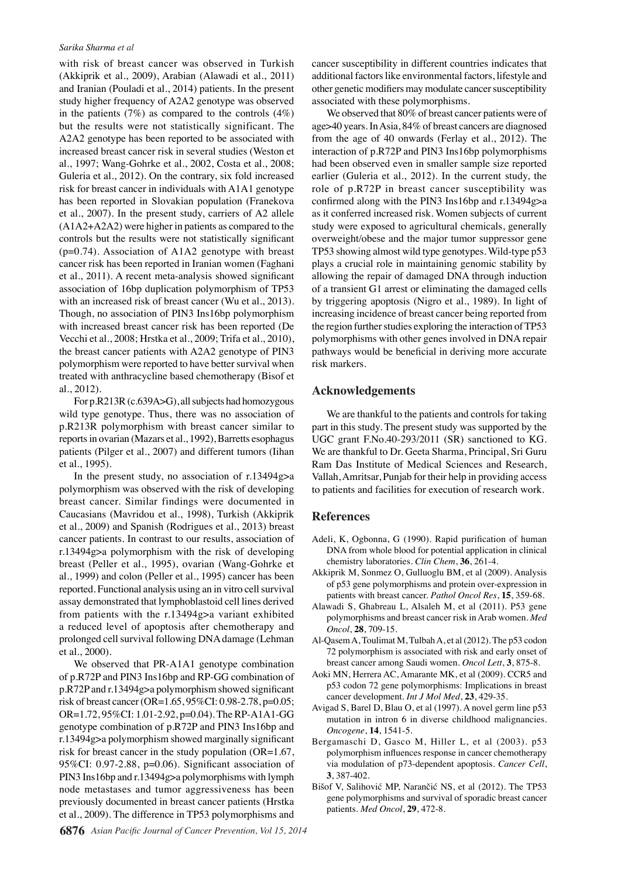with risk of breast cancer was observed in Turkish (Akkiprik et al., 2009), Arabian (Alawadi et al., 2011) and Iranian (Pouladi et al., 2014) patients. In the present study higher frequency of A2A2 genotype was observed in the patients  $(7%)$  as compared to the controls  $(4%)$ but the results were not statistically significant. The A2A2 genotype has been reported to be associated with increased breast cancer risk in several studies (Weston et al., 1997; Wang-Gohrke et al., 2002, Costa et al., 2008; Guleria et al., 2012). On the contrary, six fold increased risk for breast cancer in individuals with A1A1 genotype has been reported in Slovakian population (Franekova et al., 2007). In the present study, carriers of A2 allele (A1A2+A2A2) were higher in patients as compared to the controls but the results were not statistically significant  $(p=0.74)$ . Association of A1A2 genotype with breast cancer risk has been reported in Iranian women (Faghani et al., 2011). A recent meta-analysis showed significant association of 16bp duplication polymorphism of TP53 with an increased risk of breast cancer (Wu et al., 2013). Though, no association of PIN3 Ins16bp polymorphism with increased breast cancer risk has been reported (De Vecchi et al., 2008; Hrstka et al., 2009; Trifa et al., 2010), the breast cancer patients with A2A2 genotype of PIN3 polymorphism were reported to have better survival when treated with anthracycline based chemotherapy (Bisof et al., 2012).

For p.R213R (c.639A>G), all subjects had homozygous wild type genotype. Thus, there was no association of p.R213R polymorphism with breast cancer similar to reports in ovarian (Mazars et al., 1992), Barretts esophagus patients (Pilger et al., 2007) and different tumors (Iihan et al., 1995).

In the present study, no association of  $r \cdot 13494g > a$ polymorphism was observed with the risk of developing breast cancer. Similar findings were documented in Caucasians (Mavridou et al., 1998), Turkish (Akkiprik et al., 2009) and Spanish (Rodrigues et al., 2013) breast cancer patients. In contrast to our results, association of r.13494g>a polymorphism with the risk of developing breast (Peller et al., 1995), ovarian (Wang-Gohrke et al., 1999) and colon (Peller et al., 1995) cancer has been reported. Functional analysis using an in vitro cell survival assay demonstrated that lymphoblastoid cell lines derived from patients with the r.13494g>a variant exhibited a reduced level of apoptosis after chemotherapy and prolonged cell survival following DNA damage (Lehman et al., 2000).

We observed that PR-A1A1 genotype combination of p.R72P and PIN3 Ins16bp and RP-GG combination of p.R72P and r.13494g>a polymorphism showed significant risk of breast cancer (OR=1.65, 95%CI: 0.98-2.78, p=0.05; OR=1.72, 95%CI: 1.01-2.92, p=0.04). The RP-A1A1-GG genotype combination of p.R72P and PIN3 Ins16bp and r.13494g>a polymorphism showed marginally significant risk for breast cancer in the study population (OR=1.67, 95%CI: 0.97-2.88, p=0.06). Significant association of PIN3 Ins16bp and r.13494g>a polymorphisms with lymph node metastases and tumor aggressiveness has been previously documented in breast cancer patients (Hrstka et al., 2009). The difference in TP53 polymorphisms and

cancer susceptibility in different countries indicates that additional factors like environmental factors, lifestyle and other genetic modifiers may modulate cancer susceptibility associated with these polymorphisms.

We observed that 80% of breast cancer patients were of age>40 years. In Asia, 84% of breast cancers are diagnosed from the age of 40 onwards (Ferlay et al., 2012). The interaction of p.R72P and PIN3 Ins16bp polymorphisms had been observed even in smaller sample size reported earlier (Guleria et al., 2012). In the current study, the role of p.R72P in breast cancer susceptibility was confirmed along with the PIN3 Ins16bp and r.13494g>a as it conferred increased risk. Women subjects of current study were exposed to agricultural chemicals, generally overweight/obese and the major tumor suppressor gene TP53 showing almost wild type genotypes. Wild-type p53 plays a crucial role in maintaining genomic stability by allowing the repair of damaged DNA through induction of a transient G1 arrest or eliminating the damaged cells by triggering apoptosis (Nigro et al., 1989). In light of increasing incidence of breast cancer being reported from the region further studies exploring the interaction of TP53 polymorphisms with other genes involved in DNA repair pathways would be beneficial in deriving more accurate risk markers.

#### **Acknowledgements**

We are thankful to the patients and controls for taking part in this study. The present study was supported by the UGC grant F.No.40-293/2011 (SR) sanctioned to KG. We are thankful to Dr. Geeta Sharma, Principal, Sri Guru Ram Das Institute of Medical Sciences and Research, Vallah, Amritsar, Punjab for their help in providing access to patients and facilities for execution of research work.

#### **References**

- Adeli, K, Ogbonna, G (1990). Rapid purification of human DNA from whole blood for potential application in clinical chemistry laboratories. *Clin Chem*, **36**, 261-4.
- Akkiprik M, Sonmez O, Gulluoglu BM, et al (2009). Analysis of p53 gene polymorphisms and protein over-expression in patients with breast cancer. *Pathol Oncol Res*, **15**, 359-68.
- Alawadi S, Ghabreau L, Alsaleh M, et al (2011). P53 gene polymorphisms and breast cancer risk in Arab women. *Med Oncol*, **28**, 709-15.
- Al-Qasem A, Toulimat M, Tulbah A, et al (2012). The p53 codon 72 polymorphism is associated with risk and early onset of breast cancer among Saudi women. *Oncol Lett*, **3**, 875-8.
- Aoki MN, Herrera AC, Amarante MK, et al (2009). CCR5 and p53 codon 72 gene polymorphisms: Implications in breast cancer development. *Int J Mol Med*, **23**, 429-35.
- Avigad S, Barel D, Blau O, et al (1997). A novel germ line p53 mutation in intron 6 in diverse childhood malignancies. *Oncogene*, **14**, 1541-5.
- Bergamaschi D, Gasco M, Hiller L, et al (2003). p53 polymorphism influences response in cancer chemotherapy via modulation of p73-dependent apoptosis. *Cancer Cell*, **3**, 387-402.
- Bišof V, Salihović MP, Narančić NS, et al (2012). The TP53 gene polymorphisms and survival of sporadic breast cancer patients. *Med Oncol*, **29**, 472-8.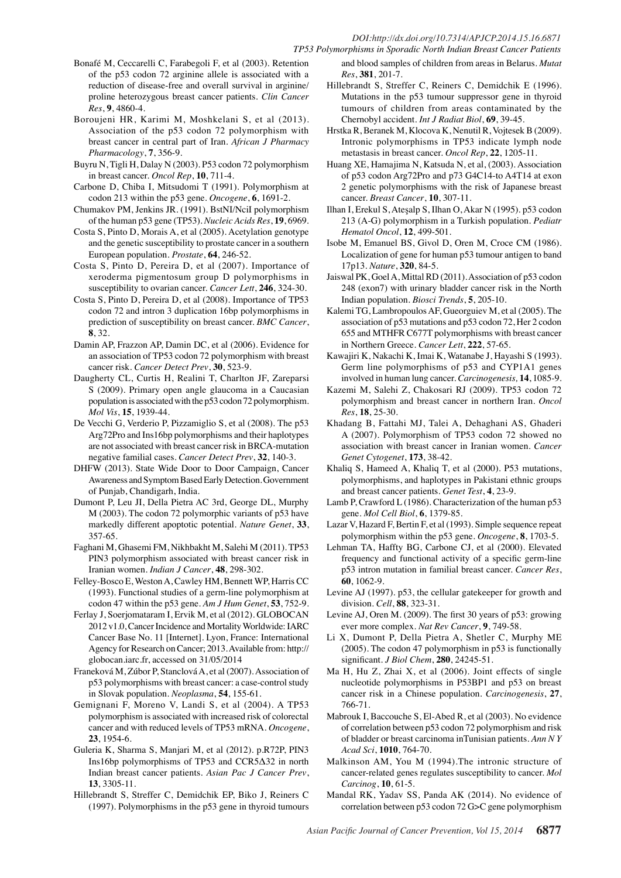#### *DOI:http://dx.doi.org/10.7314/APJCP.2014.15.16.6871 TP53 Polymorphisms in Sporadic North Indian Breast Cancer Patients*

- Bonafé M, Ceccarelli C, Farabegoli F, et al (2003). Retention of the p53 codon 72 arginine allele is associated with a reduction of disease-free and overall survival in arginine/ proline heterozygous breast cancer patients. *Clin Cancer Res*, **9**, 4860-4.
- Boroujeni HR, Karimi M, Moshkelani S, et al (2013). Association of the p53 codon 72 polymorphism with breast cancer in central part of Iran. *African J Pharmacy Pharmacology*, **7**, 356-9.
- Buyru N, Tigli H, Dalay N (2003). P53 codon 72 polymorphism in breast cancer. *Oncol Rep*, **10**, 711-4.
- Carbone D, Chiba I, Mitsudomi T (1991). Polymorphism at codon 213 within the p53 gene. *Oncogene*, **6**, 1691-2.
- Chumakov PM, Jenkins JR. (1991). BstNI/NciI polymorphism of the human p53 gene (TP53). *Nucleic Acids Res*, **19**, 6969.
- Costa S, Pinto D, Morais A, et al (2005). Acetylation genotype and the genetic susceptibility to prostate cancer in a southern European population. *Prostate*, **64**, 246-52.
- Costa S, Pinto D, Pereira D, et al (2007). Importance of xeroderma pigmentosum group D polymorphisms in susceptibility to ovarian cancer. *Cancer Lett*, **246**, 324-30.
- Costa S, Pinto D, Pereira D, et al (2008). Importance of TP53 codon 72 and intron 3 duplication 16bp polymorphisms in prediction of susceptibility on breast cancer. *BMC Cancer*, **8**, 32.
- Damin AP, Frazzon AP, Damin DC, et al (2006). Evidence for an association of TP53 codon 72 polymorphism with breast cancer risk. *Cancer Detect Prev*, **30**, 523-9.
- Daugherty CL, Curtis H, Realini T, Charlton JF, Zareparsi S (2009). Primary open angle glaucoma in a Caucasian population is associated with the p53 codon 72 polymorphism. *Mol Vis*, **15**, 1939-44.
- De Vecchi G, Verderio P, Pizzamiglio S, et al (2008). The p53 Arg72Pro and Ins16bp polymorphisms and their haplotypes are not associated with breast cancer risk in BRCA-mutation negative familial cases. *Cancer Detect Prev*, **32**, 140-3.
- DHFW (2013). State Wide Door to Door Campaign, Cancer Awareness and Symptom Based Early Detection. Government of Punjab, Chandigarh, India.
- Dumont P, Leu JI, Della Pietra AC 3rd, George DL, Murphy M (2003). The codon 72 polymorphic variants of p53 have markedly different apoptotic potential. *Nature Genet*, **33**, 357-65.
- Faghani M, Ghasemi FM, Nikhbakht M, Salehi M (2011). TP53 PIN3 polymorphism associated with breast cancer risk in Iranian women. *Indian J Cancer*, **48**, 298-302.
- Felley-Bosco E, Weston A, Cawley HM, Bennett WP, Harris CC (1993). Functional studies of a germ-line polymorphism at codon 47 within the p53 gene. *Am J Hum Genet*, **53**, 752-9.
- Ferlay J, Soerjomataram I, Ervik M, et al (2012). GLOBOCAN 2012 v1.0, Cancer Incidence and Mortality Worldwide: IARC Cancer Base No. 11 [Internet]. Lyon, France: International Agency for Research on Cancer; 2013. Available from: http:// globocan.iarc.fr, accessed on 31/05/2014
- Franeková M, Zúbor P, Stanclová A, et al (2007). Association of p53 polymorphisms with breast cancer: a case-control study in Slovak population. *Neoplasma*, **54**, 155-61.
- Gemignani F, Moreno V, Landi S, et al (2004). A TP53 polymorphism is associated with increased risk of colorectal cancer and with reduced levels of TP53 mRNA. *Oncogene*, **23**, 1954-6.
- Guleria K, Sharma S, Manjari M, et al (2012). p.R72P, PIN3 Ins16bp polymorphisms of TP53 and CCR5Δ32 in north Indian breast cancer patients. *Asian Pac J Cancer Prev*, **13**, 3305-11.
- Hillebrandt S, Streffer C, Demidchik EP, Biko J, Reiners C (1997). Polymorphisms in the p53 gene in thyroid tumours
- and blood samples of children from areas in Belarus. *Mutat Res*, **381**, 201-7.
- Hillebrandt S, Streffer C, Reiners C, Demidchik E (1996). Mutations in the p53 tumour suppressor gene in thyroid tumours of children from areas contaminated by the Chernobyl accident. *Int J Radiat Biol*, **69**, 39-45.
- Hrstka R, Beranek M, Klocova K, Nenutil R, Vojtesek B (2009). Intronic polymorphisms in TP53 indicate lymph node metastasis in breast cancer. *Oncol Rep*, **22**, 1205-11.
- Huang XE, Hamajima N, Katsuda N, et al, (2003). Association of p53 codon Arg72Pro and p73 G4C14-to A4T14 at exon 2 genetic polymorphisms with the risk of Japanese breast cancer. *Breast Cancer*, **10**, 307-11.
- Ilhan I, Erekul S, Ateşalp S, Ilhan O, Akar N (1995). p53 codon 213 (A-G) polymorphism in a Turkish population. *Pediatr Hematol Oncol*, **12**, 499-501.
- Isobe M, Emanuel BS, Givol D, Oren M, Croce CM (1986). Localization of gene for human p53 tumour antigen to band 17p13. *Nature*, **320**, 84-5.
- Jaiswal PK, Goel A, Mittal RD (2011). Association of p53 codon 248 (exon7) with urinary bladder cancer risk in the North Indian population. *Biosci Trends*, **5**, 205-10.
- Kalemi TG, Lambropoulos AF, Gueorguiev M, et al (2005). The association of p53 mutations and p53 codon 72, Her 2 codon 655 and MTHFR C677T polymorphisms with breast cancer in Northern Greece. *Cancer Lett*, **222**, 57-65.
- Kawajiri K, Nakachi K, Imai K, Watanabe J, Hayashi S (1993). Germ line polymorphisms of p53 and CYP1A1 genes involved in human lung cancer. *Carcinogenesis,* **14**, 1085-9.
- Kazemi M, Salehi Z, Chakosari RJ (2009). TP53 codon 72 polymorphism and breast cancer in northern Iran. *Oncol Res*, **18**, 25-30.
- Khadang B, Fattahi MJ, Talei A, Dehaghani AS, Ghaderi A (2007). Polymorphism of TP53 codon 72 showed no association with breast cancer in Iranian women. *Cancer Genet Cytogenet*, **173**, 38-42.
- Khaliq S, Hameed A, Khaliq T, et al (2000). P53 mutations, polymorphisms, and haplotypes in Pakistani ethnic groups and breast cancer patients. *Genet Test*, **4**, 23-9.
- Lamb P, Crawford L (1986). Characterization of the human p53 gene. *Mol Cell Biol*, **6**, 1379-85.
- Lazar V, Hazard F, Bertin F, et al (1993). Simple sequence repeat polymorphism within the p53 gene. *Oncogene*, **8**, 1703-5.
- Lehman TA, Haffty BG, Carbone CJ, et al (2000). Elevated frequency and functional activity of a specific germ-line p53 intron mutation in familial breast cancer. *Cancer Res*, **60**, 1062-9.
- Levine AJ (1997). p53, the cellular gatekeeper for growth and division. *Cell*, **88**, 323-31.
- Levine AJ, Oren M. (2009). The first 30 years of p53: growing ever more complex. *Nat Rev Cancer*, **9**, 749-58.
- Li X, Dumont P, Della Pietra A, Shetler C, Murphy ME (2005). The codon 47 polymorphism in p53 is functionally significant. *J Biol Chem*, **280**, 24245-51.
- Ma H, Hu Z, Zhai X, et al (2006). Joint effects of single nucleotide polymorphisms in P53BP1 and p53 on breast cancer risk in a Chinese population. *Carcinogenesis*, **27**, 766-71.
- Mabrouk I, Baccouche S, El-Abed R, et al (2003). No evidence of correlation between p53 codon 72 polymorphism and risk of bladder or breast carcinoma inTunisian patients. *Ann N Y Acad Sci*, **1010**, 764-70.
- Malkinson AM, You M (1994).The intronic structure of cancer-related genes regulates susceptibility to cancer. *Mol Carcinog*, **10**, 61-5.
- Mandal RK, Yadav SS, Panda AK (2014). No evidence of correlation between p53 codon 72 G>C gene polymorphism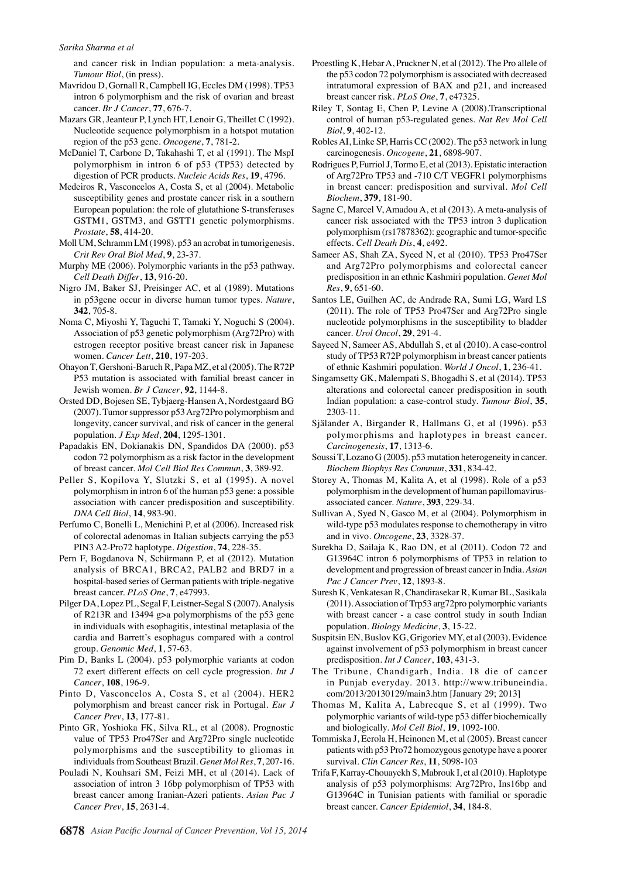and cancer risk in Indian population: a meta-analysis. *Tumour Biol*, (in press).

- Mavridou D, Gornall R, Campbell IG, Eccles DM (1998). TP53 intron 6 polymorphism and the risk of ovarian and breast cancer. *Br J Cancer*, **77**, 676-7.
- Mazars GR, Jeanteur P, Lynch HT, Lenoir G, Theillet C (1992). Nucleotide sequence polymorphism in a hotspot mutation region of the p53 gene. *Oncogene*, **7**, 781-2.
- McDaniel T, Carbone D, Takahashi T, et al (1991). The MspI polymorphism in intron 6 of p53 (TP53) detected by digestion of PCR products. *Nucleic Acids Res*, **19**, 4796.
- Medeiros R, Vasconcelos A, Costa S, et al (2004). Metabolic susceptibility genes and prostate cancer risk in a southern European population: the role of glutathione S-transferases GSTM1, GSTM3, and GSTT1 genetic polymorphisms. *Prostate*, **58**, 414-20.
- Moll UM, Schramm LM (1998). p53 an acrobat in tumorigenesis. *Crit Rev Oral Biol Med*, **9**, 23-37.
- Murphy ME (2006). Polymorphic variants in the p53 pathway. *Cell Death Differ*, **13**, 916-20.
- Nigro JM, Baker SJ, Preisinger AC, et al (1989). Mutations in p53gene occur in diverse human tumor types. *Nature*, **342**, 705-8.
- Noma C, Miyoshi Y, Taguchi T, Tamaki Y, Noguchi S (2004). Association of p53 genetic polymorphism (Arg72Pro) with estrogen receptor positive breast cancer risk in Japanese women. *Cancer Lett*, **210**, 197-203.
- Ohayon T, Gershoni-Baruch R, Papa MZ, et al (2005). The R72P P53 mutation is associated with familial breast cancer in Jewish women. *Br J Cancer*, **92**, 1144-8.
- Orsted DD, Bojesen SE, Tybjaerg-Hansen A, Nordestgaard BG (2007). Tumor suppressor p53 Arg72Pro polymorphism and longevity, cancer survival, and risk of cancer in the general population. *J Exp Med*, **204**, 1295-1301.
- Papadakis EN, Dokianakis DN, Spandidos DA (2000). p53 codon 72 polymorphism as a risk factor in the development of breast cancer. *Mol Cell Biol Res Commun*, **3**, 389-92.
- Peller S, Kopilova Y, Slutzki S, et al (1995). A novel polymorphism in intron 6 of the human p53 gene: a possible association with cancer predisposition and susceptibility. *DNA Cell Biol*, **14**, 983-90.
- Perfumo C, Bonelli L, Menichini P, et al (2006). Increased risk of colorectal adenomas in Italian subjects carrying the p53 PIN3 A2-Pro72 haplotype. *Digestion*, **74**, 228-35.
- Pern F, Bogdanova N, Schürmann P, et al (2012). Mutation analysis of BRCA1, BRCA2, PALB2 and BRD7 in a hospital-based series of German patients with triple-negative breast cancer. *PLoS One*, **7**, e47993.
- Pilger DA, Lopez PL, Segal F, Leistner-Segal S (2007). Analysis of R213R and 13494 g>a polymorphisms of the p53 gene in individuals with esophagitis, intestinal metaplasia of the cardia and Barrett's esophagus compared with a control group. *Genomic Med*, **1**, 57-63.
- Pim D, Banks L (2004). p53 polymorphic variants at codon 72 exert different effects on cell cycle progression. *Int J Cancer*, **108**, 196-9.
- Pinto D, Vasconcelos A, Costa S, et al (2004). HER2 polymorphism and breast cancer risk in Portugal. *Eur J Cancer Prev*, **13**, 177-81.
- Pinto GR, Yoshioka FK, Silva RL, et al (2008). Prognostic value of TP53 Pro47Ser and Arg72Pro single nucleotide polymorphisms and the susceptibility to gliomas in individuals from Southeast Brazil. *Genet Mol Res*, **7**, 207-16.
- Pouladi N, Kouhsari SM, Feizi MH, et al (2014). Lack of association of intron 3 16bp polymorphism of TP53 with breast cancer among Iranian-Azeri patients. *Asian Pac J Cancer Prev*, **15**, 2631-4.
- Proestling K, Hebar A, Pruckner N, et al (2012). The Pro allele of the p53 codon 72 polymorphism is associated with decreased intratumoral expression of BAX and p21, and increased breast cancer risk. *PLoS One*, **7**, e47325.
- Riley T, Sontag E, Chen P, Levine A (2008).Transcriptional control of human p53-regulated genes. *Nat Rev Mol Cell Biol*, **9**, 402-12.
- Robles AI, Linke SP, Harris CC (2002). The p53 network in lung carcinogenesis. *Oncogene*, **21**, 6898-907.
- Rodrigues P, Furriol J, Tormo E, et al (2013). Epistatic interaction of Arg72Pro TP53 and -710 C/T VEGFR1 polymorphisms in breast cancer: predisposition and survival. *Mol Cell Biochem*, **379**, 181-90.
- Sagne C, Marcel V, Amadou A, et al (2013). A meta-analysis of cancer risk associated with the TP53 intron 3 duplication polymorphism (rs17878362): geographic and tumor-specific effects. *Cell Death Dis*, **4**, e492.
- Sameer AS, Shah ZA, Syeed N, et al (2010). TP53 Pro47Ser and Arg72Pro polymorphisms and colorectal cancer predisposition in an ethnic Kashmiri population. *Genet Mol Res*, **9**, 651-60.
- Santos LE, Guilhen AC, de Andrade RA, Sumi LG, Ward LS (2011). The role of TP53 Pro47Ser and Arg72Pro single nucleotide polymorphisms in the susceptibility to bladder cancer. *Urol Oncol*, **29**, 291-4.
- Sayeed N, Sameer AS, Abdullah S, et al (2010). A case-control study of TP53 R72P polymorphism in breast cancer patients of ethnic Kashmiri population. *World J Oncol*, **1**, 236-41.
- Singamsetty GK, Malempati S, Bhogadhi S, et al (2014). TP53 alterations and colorectal cancer predisposition in south Indian population: a case-control study. *Tumour Biol*, **35**, 2303-11.
- Själander A, Birgander R, Hallmans G, et al (1996). p53 polymorphisms and haplotypes in breast cancer. *Carcinogenesis*, **17**, 1313-6.
- Soussi T, Lozano G (2005). p53 mutation heterogeneity in cancer. *Biochem Biophys Res Commun*, **331**, 834-42.
- Storey A, Thomas M, Kalita A, et al (1998). Role of a p53 polymorphism in the development of human papillomavirusassociated cancer. *Nature*, **393**, 229-34.
- Sullivan A, Syed N, Gasco M, et al (2004). Polymorphism in wild-type p53 modulates response to chemotherapy in vitro and in vivo. *Oncogene*, **23**, 3328-37.
- Surekha D, Sailaja K, Rao DN, et al (2011). Codon 72 and G13964C intron 6 polymorphisms of TP53 in relation to development and progression of breast cancer in India. *Asian Pac J Cancer Prev*, **12**, 1893-8.
- Suresh K, Venkatesan R, Chandirasekar R, Kumar BL, Sasikala (2011). Association of Trp53 arg72pro polymorphic variants with breast cancer - a case control study in south Indian population. *Biology Medicine*, **3**, 15-22.
- Suspitsin EN, Buslov KG, Grigoriev MY, et al (2003). Evidence against involvement of p53 polymorphism in breast cancer predisposition. *Int J Cancer*, **103**, 431-3.
- The Tribune, Chandigarh, India. 18 die of cancer in Punjab everyday. 2013. http://www.tribuneindia. com/2013/20130129/main3.htm [January 29; 2013]
- Thomas M, Kalita A, Labrecque S, et al (1999). Two polymorphic variants of wild-type p53 differ biochemically and biologically. *Mol Cell Biol*, **19**, 1092-100.
- Tommiska J, Eerola H, Heinonen M, et al (2005). Breast cancer patients with p53 Pro72 homozygous genotype have a poorer survival. *Clin Cancer Res*, **11**, 5098-103
- Trifa F, Karray-Chouayekh S, Mabrouk I, et al (2010). Haplotype analysis of p53 polymorphisms: Arg72Pro, Ins16bp and G13964C in Tunisian patients with familial or sporadic breast cancer. *Cancer Epidemiol*, **34**, 184-8.